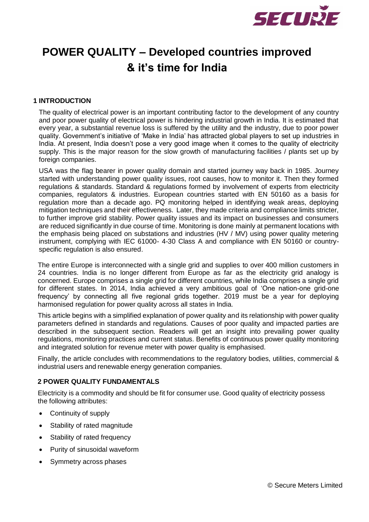

# **POWER QUALITY – Developed countries improved & it's time for India**

## **1 INTRODUCTION**

The quality of electrical power is an important contributing factor to the development of any country and poor power quality of electrical power is hindering industrial growth in India. It is estimated that every year, a substantial revenue loss is suffered by the utility and the industry, due to poor power quality. Government's initiative of 'Make in India' has attracted global players to set up industries in India. At present, India doesn't pose a very good image when it comes to the quality of electricity supply. This is the major reason for the slow growth of manufacturing facilities / plants set up by foreign companies.

USA was the flag bearer in power quality domain and started journey way back in 1985. Journey started with understanding power quality issues, root causes, how to monitor it. Then they formed regulations & standards. Standard & regulations formed by involvement of experts from electricity companies, regulators & industries. European countries started with EN 50160 as a basis for regulation more than a decade ago. PQ monitoring helped in identifying weak areas, deploying mitigation techniques and their effectiveness. Later, they made criteria and compliance limits stricter, to further improve grid stability. Power quality issues and its impact on businesses and consumers are reduced significantly in due course of time. Monitoring is done mainly at permanent locations with the emphasis being placed on substations and industries (HV / MV) using power quality metering instrument, complying with IEC 61000- 4-30 Class A and compliance with EN 50160 or countryspecific regulation is also ensured.

The entire Europe is interconnected with a single grid and supplies to over 400 million customers in 24 countries. India is no longer different from Europe as far as the electricity grid analogy is concerned. Europe comprises a single grid for different countries, while India comprises a single grid for different states. In 2014, India achieved a very ambitious goal of 'One nation-one grid-one frequency' by connecting all five regional grids together. 2019 must be a year for deploying harmonised regulation for power quality across all states in India.

This article begins with a simplified explanation of power quality and its relationship with power quality parameters defined in standards and regulations. Causes of poor quality and impacted parties are described in the subsequent section. Readers will get an insight into prevailing power quality regulations, monitoring practices and current status. Benefits of continuous power quality monitoring and integrated solution for revenue meter with power quality is emphasised.

Finally, the article concludes with recommendations to the regulatory bodies, utilities, commercial & industrial users and renewable energy generation companies.

#### **2 POWER QUALITY FUNDAMENTALS**

Electricity is a commodity and should be fit for consumer use. Good quality of electricity possess the following attributes:

- Continuity of supply
- Stability of rated magnitude
- Stability of rated frequency
- Purity of sinusoidal waveform
- Symmetry across phases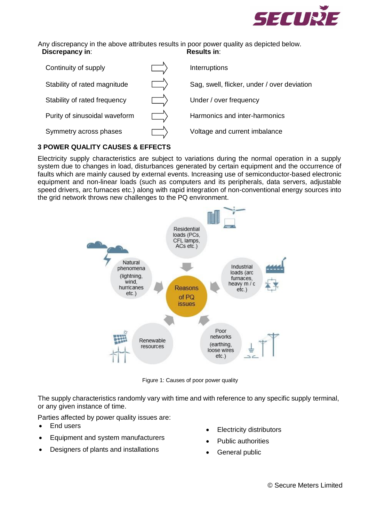

Any discrepancy in the above attributes results in poor power quality as depicted below.<br> **Discrepancy in:** Results in: **Discrepancy in:** 



# **3 POWER QUALITY CAUSES & EFFECTS**

Electricity supply characteristics are subject to variations during the normal operation in a supply system due to changes in load, disturbances generated by certain equipment and the occurrence of faults which are mainly caused by external events. Increasing use of semiconductor-based electronic equipment and non-linear loads (such as computers and its peripherals, data servers, adjustable speed drivers, arc furnaces etc.) along with rapid integration of non-conventional energy sources into the grid network throws new challenges to the PQ environment.



Figure 1: Causes of poor power quality

The supply characteristics randomly vary with time and with reference to any specific supply terminal, or any given instance of time.

Parties affected by power quality issues are:

- End users
- Equipment and system manufacturers
- Designers of plants and installations
- Electricity distributors
- Public authorities
- General public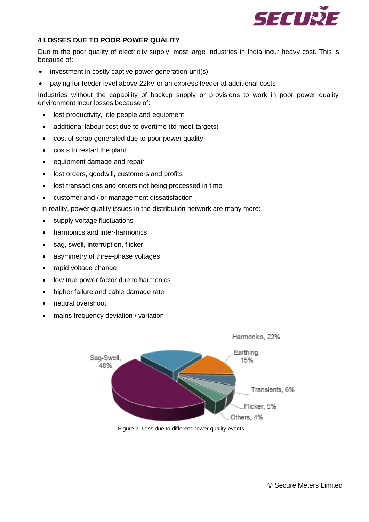

# **4 LOSSES DUE TO POOR POWER QUALITY**

Due to the poor quality of electricity supply, most large industries in India incur heavy cost. This is because of:

- investment in costly captive power generation unit(s)
- paying for feeder level above 22kV or an express feeder at additional costs

Industries without the capability of backup supply or provisions to work in poor power quality environment incur losses because of:

- lost productivity, idle people and equipment
- additional labour cost due to overtime (to meet targets)
- cost of scrap generated due to poor power quality
- costs to restart the plant
- equipment damage and repair
- lost orders, goodwill, customers and profits
- lost transactions and orders not being processed in time
- customer and / or management dissatisfaction

In reality, power quality issues in the distribution network are many more:

- supply voltage fluctuations
- harmonics and inter-harmonics
- sag, swell, interruption, flicker
- asymmetry of three-phase voltages
- rapid voltage change
- low true power factor due to harmonics
- higher failure and cable damage rate
- neutral overshoot
- mains frequency deviation / variation



Figure 2: Loss due to different power quality events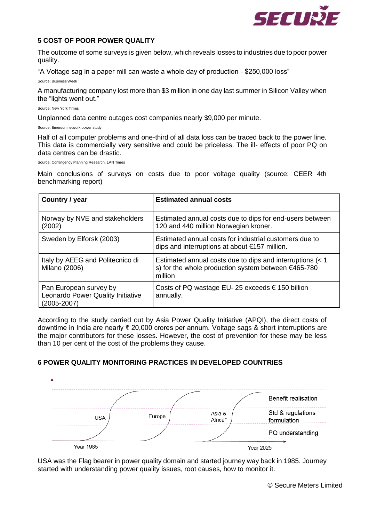

## **5 COST OF POOR POWER QUALITY**

The outcome of some surveys is given below, which reveals losses to industries due to poor power quality.

"A Voltage sag in a paper mill can waste a whole day of production - \$250,000 loss"

Source: Business Week

A manufacturing company lost more than \$3 million in one day last summer in Silicon Valley when the "lights went out."

Source: New York Times

Unplanned data centre outages cost companies nearly \$9,000 per minute.

Source: Emerson network power study

Half of all computer problems and one-third of all data loss can be traced back to the power line. This data is commercially very sensitive and could be priceless. The ill- effects of poor PQ on data centres can be drastic.

Source: Contingency Planning Research, LAN Times

Main conclusions of surveys on costs due to poor voltage quality (source: CEER 4th benchmarking report)

| Country / year                                                                 | <b>Estimated annual costs</b>                                                                                               |
|--------------------------------------------------------------------------------|-----------------------------------------------------------------------------------------------------------------------------|
| Norway by NVE and stakeholders<br>(2002)                                       | Estimated annual costs due to dips for end-users between<br>120 and 440 million Norwegian kroner.                           |
| Sweden by Elforsk (2003)                                                       | Estimated annual costs for industrial customers due to<br>dips and interruptions at about $€157$ million.                   |
| Italy by AEEG and Politecnico di<br>Milano (2006)                              | Estimated annual costs due to dips and interruptions (< 1<br>s) for the whole production system between €465-780<br>million |
| Pan European survey by<br>Leonardo Power Quality Initiative<br>$(2005 - 2007)$ | Costs of PQ wastage EU- 25 exceeds $\epsilon$ 150 billion<br>annually.                                                      |

According to the study carried out by Asia Power Quality Initiative (APQI), the direct costs of downtime in India are nearly ₹ 20,000 crores per annum. Voltage sags & short interruptions are the major contributors for these losses. However, the cost of prevention for these may be less than 10 per cent of the cost of the problems they cause.

# **6 POWER QUALITY MONITORING PRACTICES IN DEVELOPED COUNTRIES**



USA was the Flag bearer in power quality domain and started journey way back in 1985. Journey started with understanding power quality issues, root causes, how to monitor it.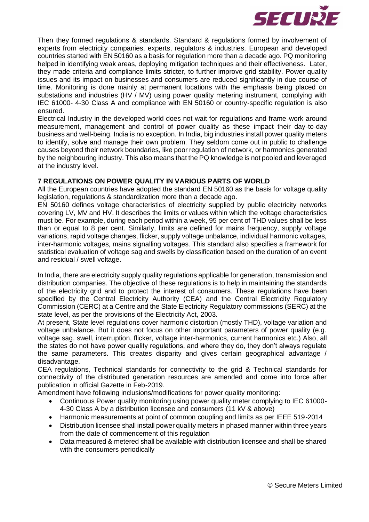

Then they formed regulations & standards. Standard & regulations formed by involvement of experts from electricity companies, experts, regulators & industries. European and developed countries started with EN 50160 as a basis for regulation more than a decade ago. PQ monitoring helped in identifying weak areas, deploying mitigation techniques and their effectiveness. Later, they made criteria and compliance limits stricter, to further improve grid stability. Power quality issues and its impact on businesses and consumers are reduced significantly in due course of time. Monitoring is done mainly at permanent locations with the emphasis being placed on substations and industries (HV / MV) using power quality metering instrument, complying with IEC 61000- 4-30 Class A and compliance with EN 50160 or country-specific regulation is also ensured.

Electrical Industry in the developed world does not wait for regulations and frame-work around measurement, management and control of power quality as these impact their day-to-day business and well-being. India is no exception. In India, big industries install power quality meters to identify, solve and manage their own problem. They seldom come out in public to challenge causes beyond their network boundaries, like poor regulation of network, or harmonics generated by the neighbouring industry. This also means that the PQ knowledge is not pooled and leveraged at the industry level.

#### **7 REGULATIONS ON POWER QUALITY IN VARIOUS PARTS OF WORLD**

All the European countries have adopted the standard EN 50160 as the basis for voltage quality legislation, regulations & standardization more than a decade ago.

EN 50160 defines voltage characteristics of electricity supplied by public electricity networks covering LV, MV and HV. It describes the limits or values within which the voltage characteristics must be. For example, during each period within a week, 95 per cent of THD values shall be less than or equal to 8 per cent. Similarly, limits are defined for mains frequency, supply voltage variations, rapid voltage changes, flicker, supply voltage unbalance, individual harmonic voltages, inter-harmonic voltages, mains signalling voltages. This standard also specifies a framework for statistical evaluation of voltage sag and swells by classification based on the duration of an event and residual / swell voltage.

In India, there are electricity supply quality regulations applicable for generation, transmission and distribution companies. The objective of these regulations is to help in maintaining the standards of the electricity grid and to protect the interest of consumers. These regulations have been specified by the Central Electricity Authority (CEA) and the Central Electricity Regulatory Commission (CERC) at a Centre and the State Electricity Regulatory commissions (SERC) at the state level, as per the provisions of the Electricity Act, 2003.

At present, State level regulations cover harmonic distortion (mostly THD), voltage variation and voltage unbalance. But it does not focus on other important parameters of power quality (e.g. voltage sag, swell, interruption, flicker, voltage inter-harmonics, current harmonics etc.) Also, all the states do not have power quality regulations, and where they do, they don't always regulate the same parameters. This creates disparity and gives certain geographical advantage / disadvantage.

CEA regulations, Technical standards for connectivity to the grid & Technical standards for connectivity of the distributed generation resources are amended and come into force after publication in official Gazette in Feb-2019.

Amendment have following inclusions/modifications for power quality monitoring:

- Continuous Power quality monitoring using power quality meter complying to IEC 61000- 4-30 Class A by a distribution licensee and consumers (11 kV & above)
- Harmonic measurements at point of common coupling and limits as per IEEE 519-2014
- Distribution licensee shall install power quality meters in phased manner within three years from the date of commencement of this regulation
- Data measured & metered shall be available with distribution licensee and shall be shared with the consumers periodically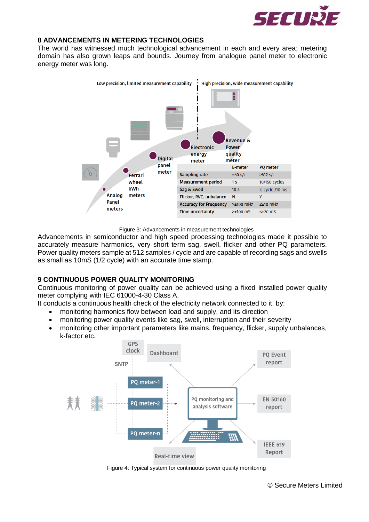

#### **8 ADVANCEMENTS IN METERING TECHNOLOGIES**

The world has witnessed much technological advancement in each and every area; metering domain has also grown leaps and bounds. Journey from analogue panel meter to electronic energy meter was long.



Figure 3: Advancements in measurement technologies

Advancements in semiconductor and high speed processing technologies made it possible to accurately measure harmonics, very short term sag, swell, flicker and other PQ parameters. Power quality meters sample at 512 samples / cycle and are capable of recording sags and swells as small as 10mS (1/2 cycle) with an accurate time stamp.

#### **9 CONTINUOUS POWER QUALITY MONITORING**

Continuous monitoring of power quality can be achieved using a fixed installed power quality meter complying with IEC 61000-4-30 Class A.

- It conducts a continuous health check of the electricity network connected to it, by:
	- monitoring harmonics flow between load and supply, and its direction
	- monitoring power quality events like sag, swell, interruption and their severity
	- monitoring other important parameters like mains, frequency, flicker, supply unbalances, k-factor etc.



Figure 4: Typical system for continuous power quality monitoring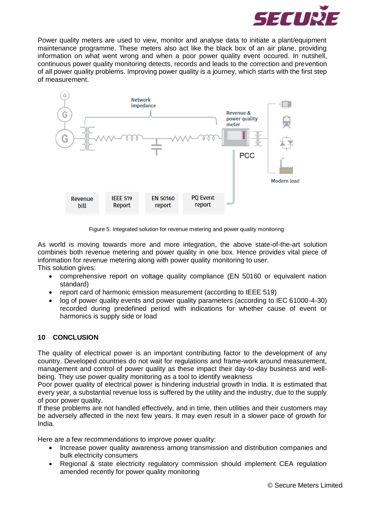

Power quality meters are used to view, monitor and analyse data to initiate a plant/equipment maintenance programme. These meters also act like the black box of an air plane, providing information on what went wrong and when a poor power quality event occured. In nutshell, continuous power quality monitoring detects, records and leads to the correction and prevention of all power quality problems. Improving power quality is a journey, which starts with the first step of measurement.



Figure 5: Integrated solution for revenue metering and power quality monitoring

As world is moving towards more and more integration, the above state-of-the-art solution combines both revenue metering and power quality in one box. Hence provides vital piece of information for revenue metering along with power quality monitoring to user. This solution gives:

- comprehensive report on voltage quality compliance (EN 50160 or equivalent nation standard)
- report card of harmonic emission measurement (according to IEEE 519)
- log of power quality events and power quality parameters (according to IEC 61000-4-30) recorded during predefined period with indications for whether cause of event or harmonics is supply side or load

# **10 CONCLUSION**

The quality of electrical power is an important contributing factor to the development of any country. Developed countries do not wait for regulations and frame-work around measurement, management and control of power quality as these impact their day-to-day business and wellbeing. They use power quality monitoring as a tool to identify weakness

Poor power quality of electrical power is hindering industrial growth in India. It is estimated that every year, a substantial revenue loss is suffered by the utility and the industry, due to the supply of poor power quality.

If these problems are not handled effectively, and in time, then utilities and their customers may be adversely affected in the next few years. It may even result in a slower pace of growth for India.

Here are a few recommendations to improve power quality:

- Increase power quality awareness among transmission and distribution companies and bulk electricity consumers
- Regional & state electricity regulatory commission should implement CEA regulation amended recently for power quality monitoring